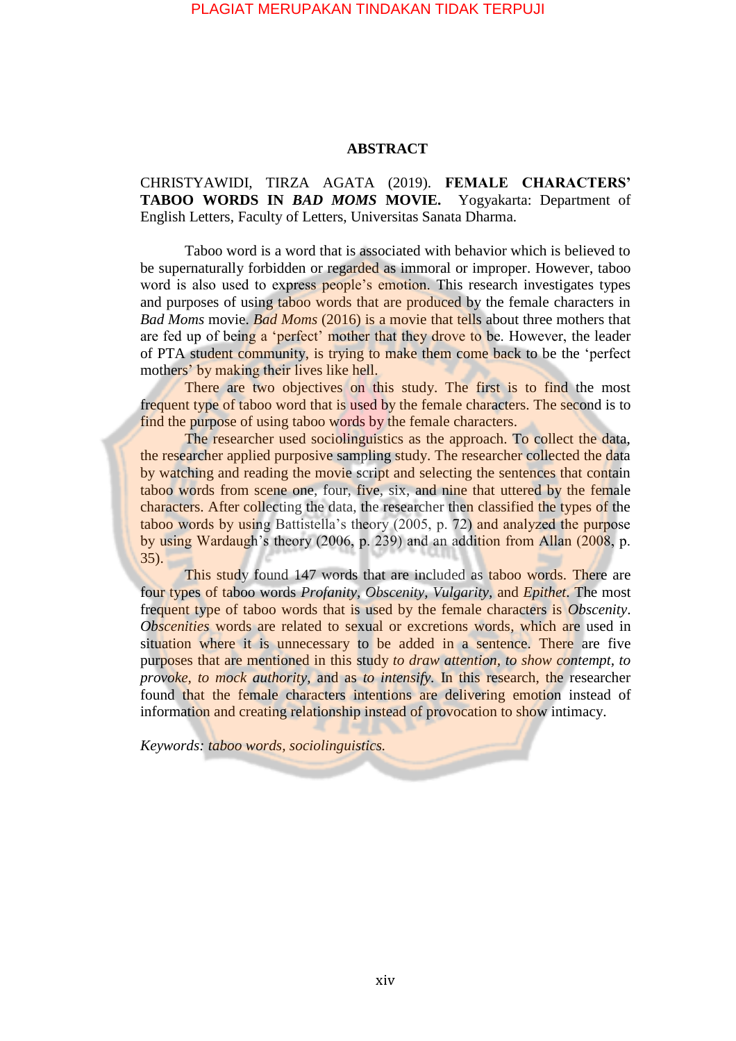## PLAGIAT MERUPAKAN TINDAKAN TIDAK TERPUJI

## **ABSTRACT**

CHRISTYAWIDI, TIRZA AGATA (2019). **FEMALE CHARACTERS' TABOO WORDS IN** *BAD MOMS* **MOVIE.** Yogyakarta: Department of English Letters, Faculty of Letters, Universitas Sanata Dharma.

Taboo word is a word that is associated with behavior which is believed to be supernaturally forbidden or regarded as immoral or improper. However, taboo word is also used to express people's emotion. This research investigates types and purposes of using taboo words that are produced by the female characters in *Bad Moms* movie. *Bad Moms* (2016) is a movie that tells about three mothers that are fed up of being a 'perfect' mother that they drove to be. However, the leader of PTA student community, is trying to make them come back to be the 'perfect mothers' by making their lives like hell.

There are two objectives on this study. The first is to find the most frequent type of taboo word that is used by the female characters. The second is to find the purpose of using taboo words by the female characters.

The researcher used sociolinguistics as the approach. To collect the data, the researcher applied purposive sampling study. The researcher collected the data by watching and reading the movie script and selecting the sentences that contain taboo words from scene one, four, five, six, and nine that uttered by the female characters. After collecting the data, the researcher then classified the types of the taboo words by using Battistella's theory (2005, p. 72) and analyzed the purpose by using Wardaugh's theory (2006, p. 239) and an addition from Allan (2008, p. 35).

This study found 147 words that are included as taboo words. There are four types of taboo words *Profanity, Obscenity, Vulgarity,* and *Epithet*. The most frequent type of taboo words that is used by the female characters is *Obscenity*. *Obscenities* words are related to sexual or excretions words, which are used in situation where it is unnecessary to be added in a sentence. There are five purposes that are mentioned in this study *to draw attention, to show contempt, to provoke, to mock authority,* and as *to intensify*. In this research, the researcher found that the female characters intentions are delivering emotion instead of information and creating relationship instead of provocation to show intimacy.

*Keywords: taboo words, sociolinguistics.*